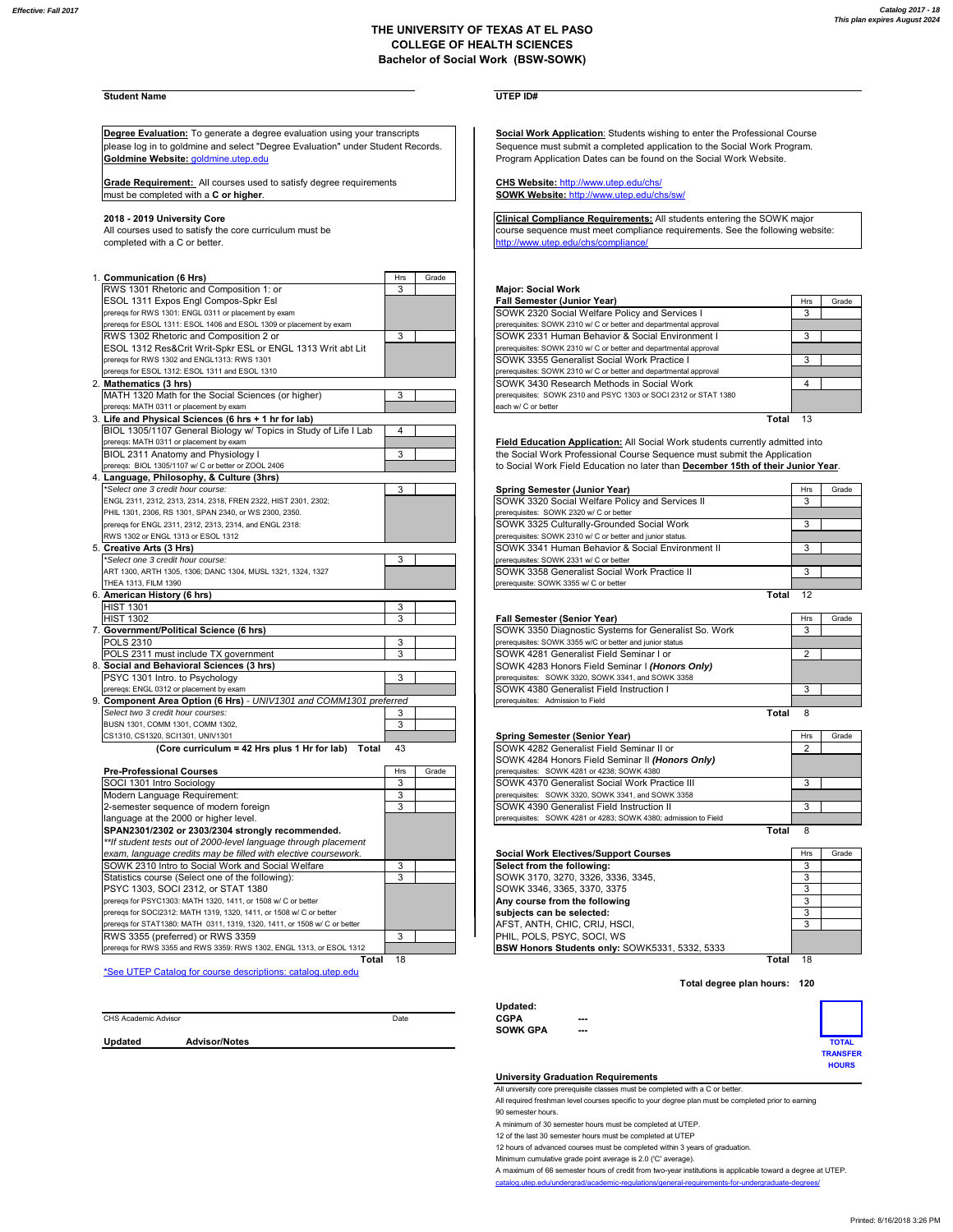## **THE UNIVERSITY OF TEXAS AT EL PASO COLLEGE OF HEALTH SCIENCES Bachelor of Social Work (BSW-SOWK)**

# **Student Name UTEP ID#**

**Degree Evaluation:** To generate a degree evaluation using your transcripts **Social Work Application:** Students wishing to enter the Professional Course please log in to goldmine and select "Degree Evaluation" under Student Records. Sequence must submit a completed application to the Social Work Program. **Goldmine Website: goldmine.utep.edu Program Application Dates can be found on the Social Work Website.** 

Grade Requirement: All courses used to satisfy degree requirements Grade Requirement: All courses used to satisfy degree requirements<br>
must be completed with a **C or higher**.<br> **SOWK Website:** http://www.utep.edu/chs/sw/

completed with a C or better.

| 1. Communication (6 Hrs)                                            | Hrs    | Grade |                                                                                                     |                |
|---------------------------------------------------------------------|--------|-------|-----------------------------------------------------------------------------------------------------|----------------|
| RWS 1301 Rhetoric and Composition 1: or                             | 3      |       | <b>Major: Social Work</b>                                                                           |                |
| ESOL 1311 Expos Engl Compos-Spkr Esl                                |        |       | <b>Fall Semester (Junior Year)</b>                                                                  | Hrs            |
| prereqs for RWS 1301: ENGL 0311 or placement by exam                |        |       | SOWK 2320 Social Welfare Policy and Services I                                                      | 3              |
| preregs for ESOL 1311: ESOL 1406 and ESOL 1309 or placement by exam |        |       | prerequisites: SOWK 2310 w/ C or better and departmental approval                                   |                |
| RWS 1302 Rhetoric and Composition 2 or                              | 3      |       | SOWK 2331 Human Behavior & Social Environment I                                                     | 3              |
| ESOL 1312 Res&Crit Writ-Spkr ESL or ENGL 1313 Writ abt Lit          |        |       | prerequisites: SOWK 2310 w/ C or better and departmental approval                                   |                |
| preregs for RWS 1302 and ENGL1313: RWS 1301                         |        |       | SOWK 3355 Generalist Social Work Practice I                                                         | 3              |
| prereqs for ESOL 1312: ESOL 1311 and ESOL 1310                      |        |       | prerequisites: SOWK 2310 w/ C or better and departmental approval                                   |                |
| 2. Mathematics (3 hrs)                                              |        |       | SOWK 3430 Research Methods in Social Work                                                           | $\overline{4}$ |
| MATH 1320 Math for the Social Sciences (or higher)                  | 3      |       | prerequisites: SOWK 2310 and PSYC 1303 or SOCI 2312 or STAT 1380                                    |                |
| prereqs: MATH 0311 or placement by exam                             |        |       | each w/ C or better                                                                                 |                |
| 3. Life and Physical Sciences (6 hrs + 1 hr for lab)                |        |       |                                                                                                     | Total 13       |
| BIOL 1305/1107 General Biology w/ Topics in Study of Life I Lab     | 4      |       |                                                                                                     |                |
| prereqs: MATH 0311 or placement by exam                             |        |       | Field Education Application: All Social Work students currently admitted in                         |                |
| BIOL 2311 Anatomy and Physiology I                                  | 3      |       | the Social Work Professional Course Sequence must submit the Application                            |                |
| prereqs: BIOL 1305/1107 w/ C or better or ZOOL 2406                 |        |       | to Social Work Field Education no later than December 15th of their Junio                           |                |
| 4. Language, Philosophy, & Culture (3hrs)                           |        |       |                                                                                                     |                |
| *Select one 3 credit hour course:                                   | 3      |       | Spring Semester (Junior Year)                                                                       | Hrs            |
| ENGL 2311, 2312, 2313, 2314, 2318, FREN 2322, HIST 2301, 2302;      |        |       | SOWK 3320 Social Welfare Policy and Services II                                                     | 3              |
| PHIL 1301, 2306, RS 1301, SPAN 2340, or WS 2300, 2350.              |        |       | prerequisites: SOWK 2320 w/ C or better                                                             |                |
| prereqs for ENGL 2311, 2312, 2313, 2314, and ENGL 2318:             |        |       | SOWK 3325 Culturally-Grounded Social Work                                                           | 3              |
| RWS 1302 or ENGL 1313 or ESOL 1312                                  |        |       | prerequisites: SOWK 2310 w/ C or better and junior status.                                          |                |
| 5. Creative Arts (3 Hrs)                                            |        |       | SOWK 3341 Human Behavior & Social Environment II                                                    | 3              |
| *Select one 3 credit hour course:                                   | 3      |       | prerequisites: SOWK 2331 w/ C or better                                                             |                |
| ART 1300, ARTH 1305, 1306; DANC 1304, MUSL 1321, 1324, 1327         |        |       | SOWK 3358 Generalist Social Work Practice II                                                        | 3              |
| THEA 1313, FILM 1390                                                |        |       | prerequisite: SOWK 3355 w/ C or better                                                              |                |
| 6. American History (6 hrs)                                         |        |       |                                                                                                     | 12<br>Total    |
| <b>HIST 1301</b>                                                    | 3      |       |                                                                                                     |                |
| <b>HIST 1302</b>                                                    | 3      |       |                                                                                                     | Hrs            |
| 7. Government/Political Science (6 hrs)                             |        |       | <b>Fall Semester (Senior Year)</b><br>SOWK 3350 Diagnostic Systems for Generalist So. Work          | 3              |
| <b>POLS 2310</b>                                                    |        |       |                                                                                                     |                |
| POLS 2311 must include TX government                                | 3<br>3 |       | prerequisites: SOWK 3355 w/C or better and junior status<br>SOWK 4281 Generalist Field Seminar I or | $\overline{2}$ |
|                                                                     |        |       |                                                                                                     |                |
| 8. Social and Behavioral Sciences (3 hrs)                           | 3      |       | SOWK 4283 Honors Field Seminar I (Honors Only)                                                      |                |
| PSYC 1301 Intro. to Psychology                                      |        |       | prerequisites: SOWK 3320, SOWK 3341, and SOWK 3358                                                  |                |
| prereqs: ENGL 0312 or placement by exam                             |        |       | SOWK 4380 Generalist Field Instruction I                                                            | 3              |
| 9. Component Area Option (6 Hrs) - UNIV1301 and COMM1301 preferred  |        |       | prerequisites: Admission to Field                                                                   | 8              |
| Select two 3 credit hour courses:                                   | 3      |       |                                                                                                     | Total          |
| BUSN 1301, COMM 1301, COMM 1302.                                    | 3      |       |                                                                                                     |                |
| CS1310, CS1320, SCI1301, UNIV1301                                   |        |       | Spring Semester (Senior Year)                                                                       | Hrs            |
| (Core curriculum = 42 Hrs plus 1 Hr for lab) Total                  | 43     |       | SOWK 4282 Generalist Field Seminar II or                                                            | 2              |
|                                                                     |        |       | SOWK 4284 Honors Field Seminar II (Honors Only)                                                     |                |
| <b>Pre-Professional Courses</b>                                     | Hrs    | Grade | prerequisites: SOWK 4281 or 4238; SOWK 4380                                                         |                |
| SOCI 1301 Intro Sociology                                           | 3      |       | SOWK 4370 Generalist Social Work Practice III                                                       | $\overline{3}$ |
| Modern Language Requirement:                                        | 3      |       | prerequisites: SOWK 3320, SOWK 3341, and SOWK 3358                                                  |                |
| 2-semester sequence of modern foreign                               | 3      |       | SOWK 4390 Generalist Field Instruction II                                                           | 3              |
| language at the 2000 or higher level.                               |        |       | prerequisites: SOWK 4281 or 4283; SOWK 4380; admission to Field                                     |                |
| SPAN2301/2302 or 2303/2304 strongly recommended.                    |        |       |                                                                                                     | 8<br>Total     |
| ** If student tests out of 2000-level language through placement    |        |       |                                                                                                     |                |
| exam, language credits may be filled with elective coursework.      |        |       | <b>Social Work Electives/Support Courses</b>                                                        | Hrs            |
| SOWK 2310 Intro to Social Work and Social Welfare                   | 3      |       | Select from the following:                                                                          | 3              |
| Statistics course (Select one of the following):                    | 3      |       | SOWK 3170, 3270, 3326, 3336, 3345,                                                                  | 3              |
| PSYC 1303, SOCI 2312, or STAT 1380                                  |        |       | SOWK 3346, 3365, 3370, 3375                                                                         | 3              |
| prereqs for PSYC1303: MATH 1320, 1411, or 1508 w/ C or better       |        |       | Any course from the following                                                                       | $\overline{3}$ |
| prereqs for SOCI2312: MATH 1319, 1320, 1411, or 1508 w/ C or better |        |       | subiects can be selected:                                                                           | $\overline{3}$ |

prereqs for RWS 3355 and RWS 3359: RWS 1302, ENGL 1313, or ESOL 1312 **Total** 18 \*See UTEP Catalog for course descriptions: catalog.utep.edu

2018 - 2019 University Core<br>All courses used to satisfy the core curriculum must be expressed by the sequence must meet compliance requirements. See the following website:

### RWS 1301 Rhetoric and Composition 1: or 3 **Major: Social Work**

| ESOL 1311 Expos Engl Compos-Spkr Esl                                | <b>Fall Semester (Junior Year)</b>                                | Hrs                       | Grade |
|---------------------------------------------------------------------|-------------------------------------------------------------------|---------------------------|-------|
| preregs for RWS 1301: ENGL 0311 or placement by exam                | SOWK 2320 Social Welfare Policy and Services I                    |                           |       |
| preregs for ESOL 1311: ESOL 1406 and ESOL 1309 or placement by exam | prerequisites: SOWK 2310 w/ C or better and departmental approval |                           |       |
| RWS 1302 Rhetoric and Composition 2 or                              | <b>SOWK 2331 Human Behavior &amp; Social Environment I</b>        |                           |       |
| ESOL 1312 Res&Crit Writ-Spkr ESL or ENGL 1313 Writ abt Lit          | prerequisites: SOWK 2310 w/ C or better and departmental approval |                           |       |
| preregs for RWS 1302 and ENGL1313: RWS 1301                         | <b>SOWK 3355 Generalist Social Work Practice I</b>                |                           |       |
| preregs for ESOL 1312: ESOL 1311 and ESOL 1310                      | prerequisites: SOWK 2310 w/ C or better and departmental approval |                           |       |
| Mathematics (3 hrs)                                                 | SOWK 3430 Research Methods in Social Work                         |                           |       |
| MATH 1320 Math for the Social Sciences (or higher)                  | prerequisites: SOWK 2310 and PSYC 1303 or SOCI 2312 or STAT 1380  |                           |       |
| preregs: MATH 0311 or placement by exam                             | each w/ C or better                                               |                           |       |
| Life and Dhusiael Colonaes (C. bus. L.d. bu fau leb).               |                                                                   | $T - 1$<br>$\overline{A}$ |       |

Field Education Application: All Social Work students currently admitted into the Social Work Professional Course Sequence must submit the Application to Social Work Field Education no later than **December 15th of their Junior Year**.

| *Select one 3 credit hour course:                              | Spring Semester (Junior Year)                              | <b>Hrs</b> | Grade |
|----------------------------------------------------------------|------------------------------------------------------------|------------|-------|
| ENGL 2311, 2312, 2313, 2314, 2318, FREN 2322, HIST 2301, 2302; | SOWK 3320 Social Welfare Policy and Services II            |            |       |
| PHIL 1301, 2306, RS 1301, SPAN 2340, or WS 2300, 2350.         | prerequisites: SOWK 2320 w/ C or better                    |            |       |
| preregs for ENGL 2311, 2312, 2313, 2314, and ENGL 2318:        | SOWK 3325 Culturally-Grounded Social Work                  |            |       |
| RWS 1302 or ENGL 1313 or ESOL 1312                             | prerequisites: SOWK 2310 w/ C or better and junior status. |            |       |
| Creative Arts (3 Hrs)                                          | SOWK 3341 Human Behavior & Social Environment II           |            |       |
| *Select one 3 credit hour course:                              | prerequisites: SOWK 2331 w/ C or better                    |            |       |
| ART 1300, ARTH 1305, 1306; DANC 1304, MUSL 1321, 1324, 1327    | SOWK 3358 Generalist Social Work Practice II               |            |       |
| THEA 1313. FILM 1390                                           | prerequisite: SOWK 3355 w/ C or better                     |            |       |
| American History (6 hrs)                                       | Total                                                      |            |       |

| <b>HIST 1302</b>                                                |  |                                                | <b>Fall Semester (Senior Year)</b>                       | Hrs | Grade |
|-----------------------------------------------------------------|--|------------------------------------------------|----------------------------------------------------------|-----|-------|
| <b>Government/Political Science (6 hrs)</b>                     |  |                                                | SOWK 3350 Diagnostic Systems for Generalist So. Work     |     |       |
| POLS 2310                                                       |  |                                                | prerequisites: SOWK 3355 w/C or better and junior status |     |       |
| POLS 2311 must include TX government                            |  |                                                | SOWK 4281 Generalist Field Seminar I or                  |     |       |
| Social and Behavioral Sciences (3 hrs)                          |  | SOWK 4283 Honors Field Seminar I (Honors Only) |                                                          |     |       |
| PSYC 1301 Intro. to Psychology                                  |  |                                                | prerequisites: SOWK 3320, SOWK 3341, and SOWK 3358       |     |       |
| preregs: ENGL 0312 or placement by exam                         |  |                                                | SOWK 4380 Generalist Field Instruction I                 |     |       |
| Component Area Option (6 Hrs) - UNIV1301 and COMM1301 preferred |  |                                                | prerequisites: Admission to Field                        |     |       |

| DUƏN TƏVT. CONINI TƏVT. CONINI TƏVZ.                     |            |       |                                          |                                                                 |       |     |       |
|----------------------------------------------------------|------------|-------|------------------------------------------|-----------------------------------------------------------------|-------|-----|-------|
| CS1310, CS1320, SCI1301, UNIV1301                        |            |       |                                          | Spring Semester (Senior Year)                                   |       | Hrs | Grade |
| (Core curriculum = 42 Hrs plus 1 Hr for lab)<br>Total 43 |            |       | SOWK 4282 Generalist Field Seminar II or |                                                                 |       |     |       |
|                                                          |            |       |                                          | SOWK 4284 Honors Field Seminar II (Honors Only)                 |       |     |       |
| Pre-Professional Courses                                 | <b>Hrs</b> | Grade |                                          | prerequisites: SOWK 4281 or 4238: SOWK 4380                     |       |     |       |
| SOCI 1301 Intro Sociology                                |            |       |                                          | SOWK 4370 Generalist Social Work Practice III                   |       |     |       |
| Modern Language Requirement:                             |            |       |                                          | prerequisites: SOWK 3320, SOWK 3341, and SOWK 3358              |       |     |       |
| 2-semester sequence of modern foreign                    |            |       |                                          | SOWK 4390 Generalist Field Instruction II                       |       |     |       |
| language at the 2000 or higher level.                    |            |       |                                          | prerequisites: SOWK 4281 or 4283: SOWK 4380: admission to Field |       |     |       |
| SPAN2301/2302 or 2303/2304 strongly recommended.         |            |       |                                          |                                                                 | Total |     |       |

| <i>n</i> student tests out or zooo-lever language through placement       |                                                       |            |       |
|---------------------------------------------------------------------------|-------------------------------------------------------|------------|-------|
| exam, language credits may be filled with elective coursework.            | <b>Social Work Electives/Support Courses</b>          | <b>Hrs</b> | Grade |
| SOWK 2310 Intro to Social Work and Social Welfare                         | Select from the following:                            |            |       |
| Statistics course (Select one of the following):                          | SOWK 3170, 3270, 3326, 3336, 3345.                    |            |       |
| PSYC 1303. SOCI 2312. or STAT 1380                                        | SOWK 3346, 3365, 3370, 3375                           |            |       |
| preregs for PSYC1303: MATH 1320, 1411, or 1508 w/ C or better             | Any course from the following                         |            |       |
| preregs for SOCI2312: MATH 1319, 1320, 1411, or 1508 w/ C or better       | subjects can be selected:                             |            |       |
| preregs for STAT1380: MATH 0311, 1319, 1320, 1411, or 1508 w/ C or better | AFST. ANTH. CHIC. CRIJ. HSCI.                         |            |       |
| RWS 3355 (preferred) or RWS 3359                                          | PHIL, POLS, PSYC, SOCI, WS                            |            |       |
| preregs for RWS 3355 and RWS 3359: RWS 1302, ENGL 1313, or ESOL 1312      | <b>BSW Honors Students only: SOWK5331, 5332, 5333</b> |            |       |

**Total** 18 **Total** 18

**Total degree plan hours: 120**

|                      |                      |      | Updated:        |        |                 |
|----------------------|----------------------|------|-----------------|--------|-----------------|
| CHS Academic Advisor |                      | Date | <b>CGPA</b>     | $\sim$ |                 |
|                      |                      |      | <b>SOWK GPA</b> | $\sim$ |                 |
| Updated              | <b>Advisor/Notes</b> |      |                 |        | <b>TOTAL</b>    |
|                      |                      |      |                 |        | <b>TRANSFER</b> |
|                      |                      |      |                 |        | <b>HOURS</b>    |

## **University Graduation Requirements**

All university core prerequisite classes must be completed with a C or better.

All required freshman level courses specific to your degree plan must be completed prior to earning

90 semester hours.

A minimum of 30 semester hours must be completed at UTEP.

12 of the last 30 semester hours must be completed at UTEP

12 hours of advanced courses must be completed within 3 years of graduation.

Minimum cumulative grade point average is 2.0 ('C' average).

A maximum of 66 semester hours of credit from two-year institutions is applicable toward a degree at UTEP.

catalog.utep.edu/undergrad/academic-regulations/general-require